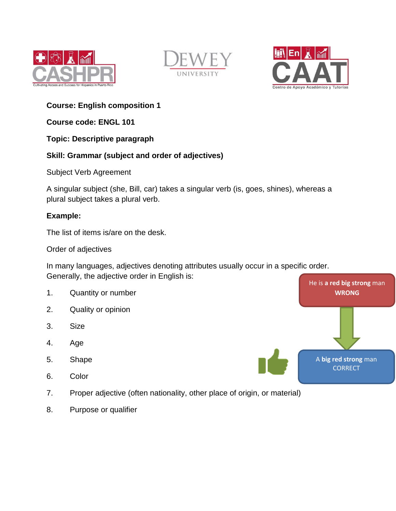





# **Course: English composition 1**

**Course code: ENGL 101**

### **Topic: Descriptive paragraph**

## **Skill: Grammar (subject and order of adjectives)**

Subject Verb Agreement

A singular subject (she, Bill, car) takes a singular verb (is, goes, shines), whereas a plural subject takes a plural verb.

### **Example:**

The list of items is/are on the desk.

Order of adjectives

In many languages, adjectives denoting attributes usually occur in a specific order. Generally, the adjective order in English is:

- 1. Quantity or number
- 2. Quality or opinion
- 3. Size
- 4. Age
- 5. Shape
- 6. Color
- 7. Proper adjective (often nationality, other place of origin, or material)
- 8. Purpose or qualifier